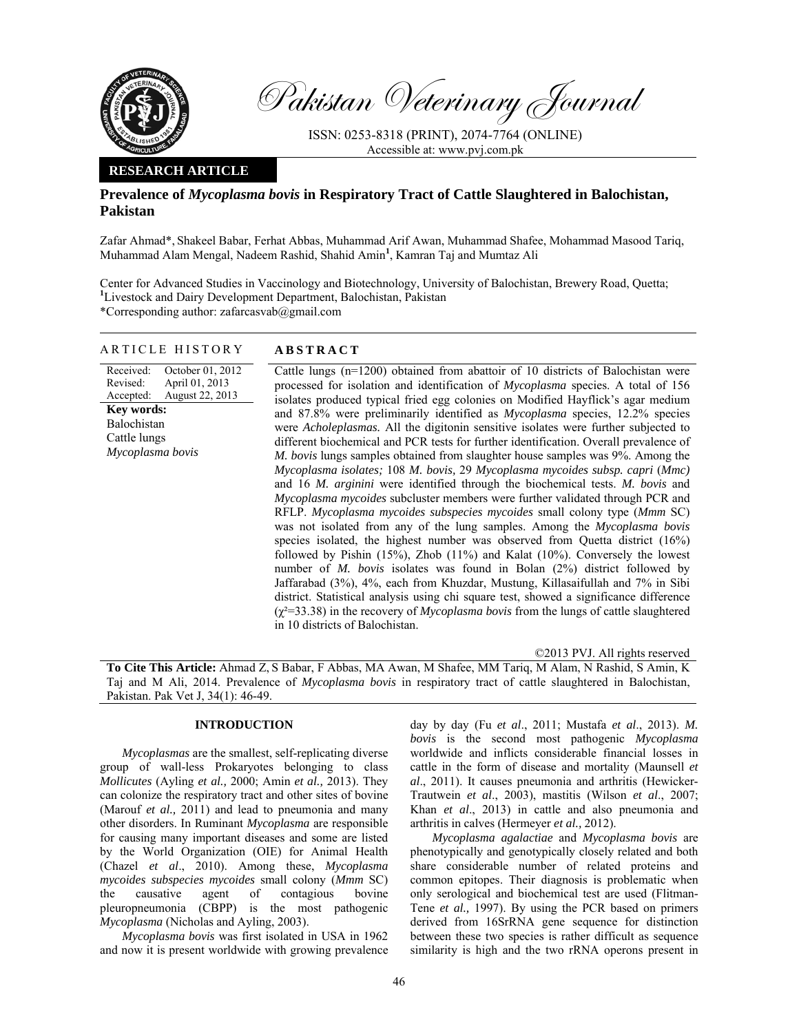

Pakistan Veterinary Journal

ISSN: 0253-8318 (PRINT), 2074-7764 (ONLINE) Accessible at: www.pvj.com.pk

## **RESEARCH ARTICLE**

## **Prevalence of** *Mycoplasma bovis* **in Respiratory Tract of Cattle Slaughtered in Balochistan, Pakistan**

Zafar Ahmad\*, Shakeel Babar, Ferhat Abbas, Muhammad Arif Awan, Muhammad Shafee, Mohammad Masood Tariq, Muhammad Alam Mengal, Nadeem Rashid, Shahid Amin**<sup>1</sup>** , Kamran Taj and Mumtaz Ali

Center for Advanced Studies in Vaccinology and Biotechnology, University of Balochistan, Brewery Road, Quetta; <sup>1</sup>Livestock and Dairy Development Department, Balochistan, Pakistan \*Corresponding author: zafarcasvab@gmail.com

### ARTICLE HISTORY **ABSTRACT**

Received: Revised: Accepted: October 01, 2012 April 01, 2013 August 22, 2013 **Key words:**  Balochistan Cattle lungs *Mycoplasma bovis* 

 Cattle lungs (n=1200) obtained from abattoir of 10 districts of Balochistan were processed for isolation and identification of *Mycoplasma* species. A total of 156 isolates produced typical fried egg colonies on Modified Hayflick's agar medium and 87.8% were preliminarily identified as *Mycoplasma* species, 12.2% species were *Acholeplasmas.* All the digitonin sensitive isolates were further subjected to different biochemical and PCR tests for further identification. Overall prevalence of *M. bovis* lungs samples obtained from slaughter house samples was 9%. Among the *Mycoplasma isolates;* 108 *M. bovis,* 29 *Mycoplasma mycoides subsp. capri* (*Mmc)* and 16 *M. arginini* were identified through the biochemical tests. *M. bovis* and *Mycoplasma mycoides* subcluster members were further validated through PCR and RFLP. *Mycoplasma mycoides subspecies mycoides* small colony type (*Mmm* SC) was not isolated from any of the lung samples. Among the *Mycoplasma bovis* species isolated, the highest number was observed from Quetta district (16%) followed by Pishin (15%), Zhob (11%) and Kalat (10%). Conversely the lowest number of *M. bovis* isolates was found in Bolan (2%) district followed by Jaffarabad (3%), 4%, each from Khuzdar, Mustung, Killasaifullah and 7% in Sibi district. Statistical analysis using chi square test, showed a significance difference (χ²=33.38) in the recovery of *Mycoplasma bovis* from the lungs of cattle slaughtered in 10 districts of Balochistan.

©2013 PVJ. All rights reserved

**To Cite This Article:** Ahmad Z, S Babar, F Abbas, MA Awan, M Shafee, MM Tariq, M Alam, N Rashid, S Amin, K Taj and M Ali, 2014. Prevalence of *Mycoplasma bovis* in respiratory tract of cattle slaughtered in Balochistan, Pakistan. Pak Vet J, 34(1): 46-49.

# **INTRODUCTION**

*Mycoplasmas* are the smallest, self-replicating diverse group of wall-less Prokaryotes belonging to class *Mollicutes* (Ayling *et al.,* 2000; Amin *et al.,* 2013). They can colonize the respiratory tract and other sites of bovine (Marouf *et al.,* 2011) and lead to pneumonia and many other disorders. In Ruminant *Mycoplasma* are responsible for causing many important diseases and some are listed by the World Organization (OIE) for Animal Health (Chazel *et al*., 2010). Among these, *Mycoplasma mycoides subspecies mycoides* small colony (*Mmm* SC) the causative agent of contagious bovine pleuropneumonia (CBPP) is the most pathogenic *Mycoplasma* (Nicholas and Ayling, 2003).

*Mycoplasma bovis* was first isolated in USA in 1962 and now it is present worldwide with growing prevalence day by day (Fu *et al*., 2011; Mustafa *et al*., 2013). *M. bovis* is the second most pathogenic *Mycoplasma*  worldwide and inflicts considerable financial losses in cattle in the form of disease and mortality (Maunsell *et al*., 2011). It causes pneumonia and arthritis (Hewicker-Trautwein *et al*., 2003), mastitis (Wilson *et al*., 2007; Khan *et al*., 2013) in cattle and also pneumonia and arthritis in calves (Hermeyer *et al.,* 2012).

*Mycoplasma agalactiae* and *Mycoplasma bovis* are phenotypically and genotypically closely related and both share considerable number of related proteins and common epitopes. Their diagnosis is problematic when only serological and biochemical test are used (Flitman-Tene *et al.,* 1997). By using the PCR based on primers derived from 16SrRNA gene sequence for distinction between these two species is rather difficult as sequence similarity is high and the two rRNA operons present in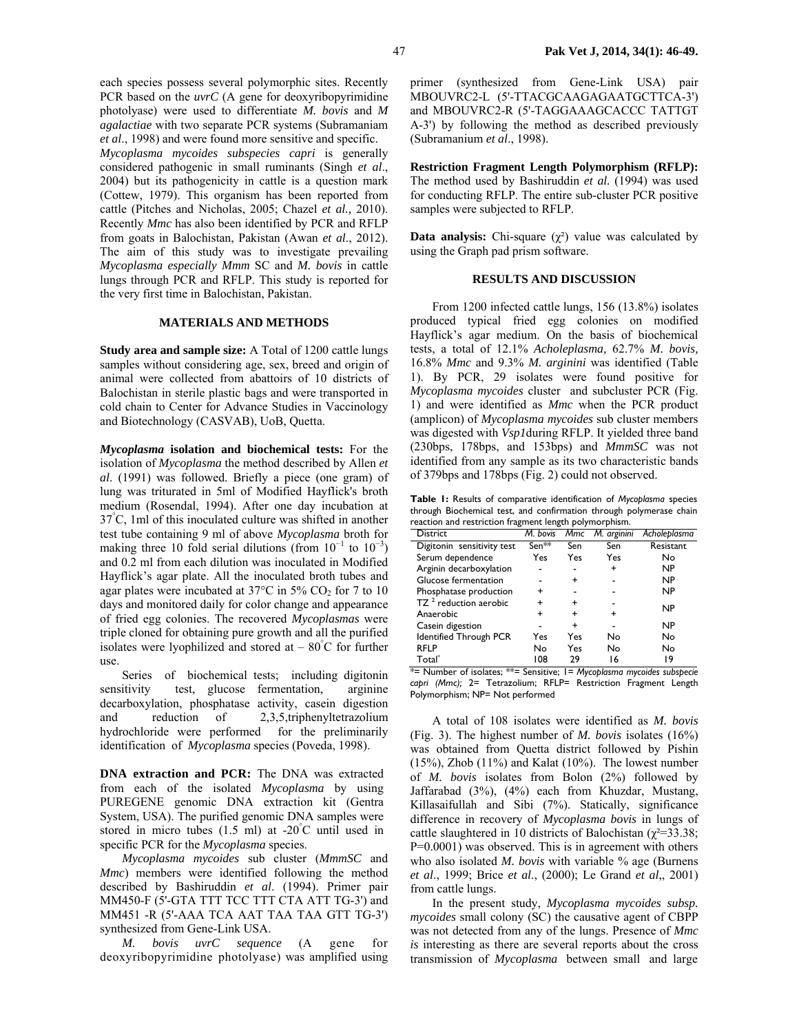each species possess several polymorphic sites. Recently PCR based on the *uvrC* (A gene for deoxyribopyrimidine photolyase) were used to differentiate *M. bovis* and *M agalactiae* with two separate PCR systems (Subramaniam *et al*., 1998) and were found more sensitive and specific.

*Mycoplasma mycoides subspecies capri* is generally considered pathogenic in small ruminants (Singh *et al*., 2004) but its pathogenicity in cattle is a question mark (Cottew, 1979). This organism has been reported from cattle (Pitches and Nicholas, 2005; Chazel *et al.,* 2010). Recently *Mmc* has also been identified by PCR and RFLP from goats in Balochistan, Pakistan (Awan *et al*., 2012). The aim of this study was to investigate prevailing *Mycoplasma especially Mmm* SC and *M. bovis* in cattle lungs through PCR and RFLP. This study is reported for the very first time in Balochistan, Pakistan.

## **MATERIALS AND METHODS**

**Study area and sample size:** A Total of 1200 cattle lungs samples without considering age, sex, breed and origin of animal were collected from abattoirs of 10 districts of Balochistan in sterile plastic bags and were transported in cold chain to Center for Advance Studies in Vaccinology and Biotechnology (CASVAB), UoB, Quetta.

*Mycoplasma* **isolation and biochemical tests:** For the isolation of *Mycoplasma* the method described by Allen *et al*. (1991) was followed. Briefly a piece (one gram) of lung was triturated in 5ml of Modified Hayflick's broth medium (Rosendal, 1994). After one day incubation at 37° C, 1ml of this inoculated culture was shifted in another test tube containing 9 ml of above *Mycoplasma* broth for making three 10 fold serial dilutions (from  $10^{-1}$  to  $10^{-3}$ ) and 0.2 ml from each dilution was inoculated in Modified Hayflick's agar plate. All the inoculated broth tubes and agar plates were incubated at  $37^{\circ}$ C in  $5\%$  CO<sub>2</sub> for 7 to 10 days and monitored daily for color change and appearance of fried egg colonies. The recovered *Mycoplasmas* were triple cloned for obtaining pure growth and all the purified isolates were lyophilized and stored at – 80° C for further use.

Series of biochemical tests; including digitonin sensitivity test, glucose fermentation, arginine decarboxylation, phosphatase activity, casein digestion and reduction of 2,3,5,triphenyltetrazolium hydrochloride were performed for the preliminarily identification of *Mycoplasma* species (Poveda, 1998).

**DNA extraction and PCR:** The DNA was extracted from each of the isolated *Mycoplasma* by using PUREGENE genomic DNA extraction kit (Gentra System, USA). The purified genomic DNA samples were stored in micro tubes (1.5 ml) at -20° C until used in specific PCR for the *Mycoplasma* species.

*Mycoplasma mycoides* sub cluster (*MmmSC* and *Mmc*) members were identified following the method described by Bashiruddin *et al*. (1994). Primer pair MM450-F (5'-GTA TTT TCC TTT CTA ATT TG-3') and MM451 -R (5'-AAA TCA AAT TAA TAA GTT TG-3') synthesized from Gene-Link USA.

*M. bovis uvrC sequence* (A gene for deoxyribopyrimidine photolyase) was amplified using primer (synthesized from Gene-Link USA) pair MBOUVRC2-L (5'-TTACGCAAGAGAATGCTTCA-3') and MBOUVRC2-R (5'-TAGGAAAGCACCC TATTGT A-3') by following the method as described previously (Subramanium *et al*., 1998).

**Restriction Fragment Length Polymorphism (RFLP):** The method used by Bashiruddin *et al.* (1994) was used for conducting RFLP. The entire sub-cluster PCR positive samples were subjected to RFLP.

**Data analysis:** Chi-square  $(\chi^2)$  value was calculated by using the Graph pad prism software.

#### **RESULTS AND DISCUSSION**

From 1200 infected cattle lungs, 156 (13.8%) isolates produced typical fried egg colonies on modified Hayflick's agar medium. On the basis of biochemical tests, a total of 12.1% *Acholeplasma,* 62.7% *M. bovis,* 16.8% *Mmc* and 9.3% *M. arginini* was identified (Table 1). By PCR, 29 isolates were found positive for *Mycoplasma mycoides* cluster and subcluster PCR (Fig. 1) and were identified as *Mmc* when the PCR product (amplicon) of *Mycoplasma mycoides* sub cluster members was digested with *Vsp1*during RFLP. It yielded three band (230bps, 178bps, and 153bps) and *MmmSC* was not identified from any sample as its two characteristic bands of 379bps and 178bps (Fig. 2) could not observed.

**Table 1:** Results of comparative identification of *Mycoplasma* species through Biochemical test, and confirmation through polymerase chain reaction and restriction fragment length polymorphism.

| <b>District</b>                   | M. bovis         | Mmc       | M. arginini | Acholeplasma |
|-----------------------------------|------------------|-----------|-------------|--------------|
| Digitonin sensitivity test        | Sen <sup>*</sup> | Sen       | Sen         | Resistant    |
| Serum dependence                  | Yes              | Yes       | Yes         | No           |
| Arginin decarboxylation           |                  |           | ÷           | NP           |
| Glucose fermentation              |                  | +         |             | <b>NP</b>    |
| Phosphatase production            | ÷                |           |             | NP           |
| TZ <sup>2</sup> reduction aerobic | +                | $\ddot{}$ |             | NP           |
| Anaerobic                         | +                | $\ddot{}$ | ÷           |              |
| Casein digestion                  |                  | +         |             | NP           |
| Identified Through PCR            | Yes              | Yes       | No          | No           |
| <b>RFLP</b>                       | No               | Yes       | No          | No           |
| Total <sup>®</sup>                | 108              | 29        | 16          | 19           |

\*= Number of isolates; \*\*= Sensitive; 1= *Mycoplasma mycoides subspecie capri (Mmc);* 2= Tetrazolium; RFLP= Restriction Fragment Length Polymorphism; NP= Not performed

A total of 108 isolates were identified as *M. bovis*  (Fig. 3). The highest number of *M. bovis* isolates (16%) was obtained from Quetta district followed by Pishin (15%), Zhob (11%) and Kalat (10%). The lowest number of *M. bovis* isolates from Bolon (2%) followed by Jaffarabad (3%), (4%) each from Khuzdar, Mustang, Killasaifullah and Sibi (7%). Statically, significance difference in recovery of *Mycoplasma bovis* in lungs of cattle slaughtered in 10 districts of Balochistan ( $\chi^2$ =33.38; P=0.0001) was observed. This is in agreement with others who also isolated *M. bovis* with variable % age (Burnens *et al*., 1999; Brice *et al*., (2000); Le Grand *et al*,, 2001) from cattle lungs.

In the present study, *Mycoplasma mycoides subsp. mycoides* small colony (SC) the causative agent of CBPP was not detected from any of the lungs. Presence of *Mmc is* interesting as there are several reports about the cross transmission of *Mycoplasma* between small and large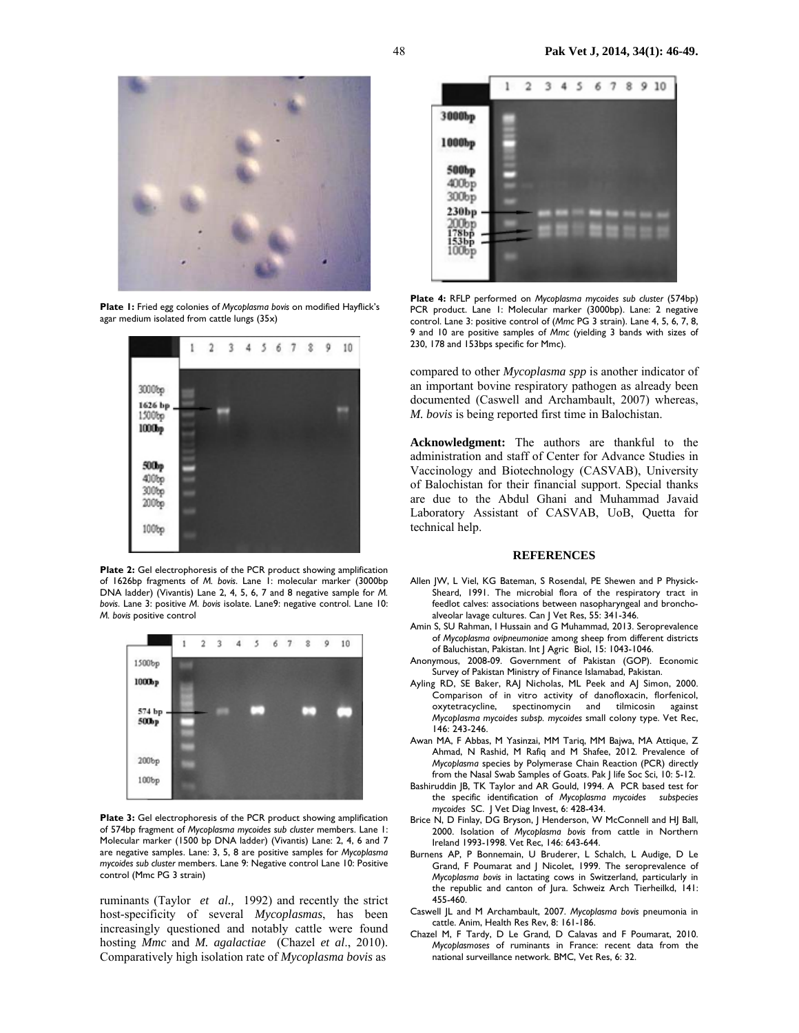

**Plate 1:** Fried egg colonies of *Mycoplasma bovis* on modified Hayflick's agar medium isolated from cattle lungs (35x)



Plate 2: Gel electrophoresis of the PCR product showing amplification of 1626bp fragments of *M. bovis*. Lane 1: molecular marker (3000bp DNA ladder) (Vivantis) Lane 2, 4, 5, 6, 7 and 8 negative sample for *M. bovis*. Lane 3: positive *M. bovis* isolate. Lane9: negative control. Lane 10: *M. bovis* positive control



**Plate 3:** Gel electrophoresis of the PCR product showing amplification of 574bp fragment of *Mycoplasma mycoides sub cluster* members. Lane 1: Molecular marker (1500 bp DNA ladder) (Vivantis) Lane: 2, 4, 6 and 7 are negative samples. Lane: 3, 5, 8 are positive samples for *Mycoplasma mycoides sub cluster* members. Lane 9: Negative control Lane 10: Positive control (Mmc PG 3 strain)

ruminants (Taylor *et al.,* 1992) and recently the strict host-specificity of several *Mycoplasmas*, has been increasingly questioned and notably cattle were found hosting *Mmc* and *M. agalactiae* (Chazel *et al*., 2010). Comparatively high isolation rate of *Mycoplasma bovis* as



**Plate 4:** RFLP performed on *Mycoplasma mycoides sub cluster* (574bp) PCR product. Lane 1: Molecular marker (3000bp). Lane: 2 negative control. Lane 3: positive control of (*Mmc* PG 3 strain). Lane 4, 5, 6, 7, 8, 9 and 10 are positive samples of *Mmc* (yielding 3 bands with sizes of 230, 178 and 153bps specific for Mmc).

compared to other *Mycoplasma spp* is another indicator of an important bovine respiratory pathogen as already been documented (Caswell and Archambault, 2007) whereas, *M. bovis* is being reported first time in Balochistan.

**Acknowledgment:** The authors are thankful to the administration and staff of Center for Advance Studies in Vaccinology and Biotechnology (CASVAB), University of Balochistan for their financial support. Special thanks are due to the Abdul Ghani and Muhammad Javaid Laboratory Assistant of CASVAB, UoB, Quetta for technical help.

#### **REFERENCES**

- Allen JW, L Viel, KG Bateman, S Rosendal, PE Shewen and P Physick-Sheard, 1991. The microbial flora of the respiratory tract in feedlot calves: associations between nasopharyngeal and bronchoalveolar lavage cultures. Can J Vet Res, 55: 341-346.
- Amin S, SU Rahman, I Hussain and G Muhammad, 2013. Seroprevalence of *Mycoplasma ovipneumoniae* among sheep from different districts of Baluchistan, Pakistan. Int J Agric Biol, 15: 1043-1046.
- Anonymous, 2008-09. Government of Pakistan (GOP). Economic Survey of Pakistan Ministry of Finance Islamabad, Pakistan.
- Ayling RD, SE Baker, RAJ Nicholas, ML Peek and AJ Simon, 2000. Comparison of in vitro activity of danofloxacin, florfenicol, oxytetracycline, spectinomycin and tilmicosin against *Mycoplasma mycoides subsp. mycoides* small colony type. Vet Rec, 146: 243-246.
- Awan MA, F Abbas, M Yasinzai, MM Tariq, MM Bajwa, MA Attique, Z Ahmad, N Rashid, M Rafiq and M Shafee, 2012*.* Prevalence of *Mycoplasma* species by Polymerase Chain Reaction (PCR) directly from the Nasal Swab Samples of Goats. Pak J life Soc Sci, 10: 5-12.
- Bashiruddin JB, TK Taylor and AR Gould, 1994. A PCR based test for the specific identification of *Mycoplasma mycoides subspecies mycoides* SC. J Vet Diag Invest, 6: 428-434.
- Brice N, D Finlay, DG Bryson, J Henderson, W McConnell and HJ Ball, 2000. Isolation of *Mycoplasma bovis* from cattle in Northern Ireland 1993-1998. Vet Rec, 146: 643-644.
- Burnens AP, P Bonnemain, U Bruderer, L Schalch, L Audige, D Le Grand, F Poumarat and J Nicolet, 1999. The seroprevalence of *Mycoplasma bovis* in lactating cows in Switzerland, particularly in the republic and canton of Jura. Schweiz Arch Tierheilkd, 141: 455-460.
- Caswell JL and M Archambault, 2007. *Mycoplasma bovis* pneumonia in cattle. Anim, Health Res Rev, 8: 161-186.
- Chazel M, F Tardy, D Le Grand, D Calavas and F Poumarat, 2010. *Mycoplasmoses* of ruminants in France: recent data from the national surveillance network. BMC, Vet Res, 6: 32.